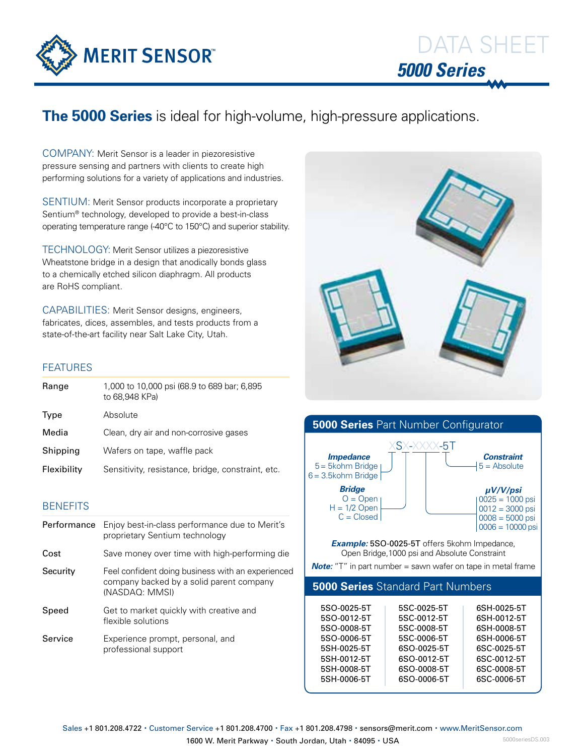

# **The 5000 Series** is ideal for high-volume, high-pressure applications.

COMPANY: Merit Sensor is a leader in piezoresistive pressure sensing and partners with clients to create high performing solutions for a variety of applications and industries.

SENTIUM: Merit Sensor products incorporate a proprietary Sentium® technology, developed to provide a best-in-class operating temperature range (-40°C to 150°C) and superior stability.

TECHNOLOGY: Merit Sensor utilizes a piezoresistive Wheatstone bridge in a design that anodically bonds glass to a chemically etched silicon diaphragm. All products are RoHS compliant.

CAPABILITIES: Merit Sensor designs, engineers, fabricates, dices, assembles, and tests products from a state-of-the-art facility near Salt Lake City, Utah.

### FEATURES

| Range       | 1,000 to 10,000 psi (68.9 to 689 bar; 6,895<br>to 68.948 KPa) |
|-------------|---------------------------------------------------------------|
| Type        | Absolute                                                      |
| Media       | Clean, dry air and non-corrosive gases                        |
| Shipping    | Wafers on tape, waffle pack                                   |
| Flexibility | Sensitivity, resistance, bridge, constraint, etc.             |

## **BENEFITS**

| Performance | Enjoy best-in-class performance due to Merit's<br>proprietary Sentium technology                                |
|-------------|-----------------------------------------------------------------------------------------------------------------|
| Cost        | Save money over time with high-performing die                                                                   |
| Security    | Feel confident doing business with an experienced<br>company backed by a solid parent company<br>(NASDAQ: MMSI) |
| Speed       | Get to market quickly with creative and<br>flexible solutions                                                   |
| Service     | Experience prompt, personal, and<br>professional support                                                        |





6SO-0008-5T 6SO-0006-5T

5SH-0008-5T 5SH-0006-5T 6SC-0008-5T 6SC-0006-5T